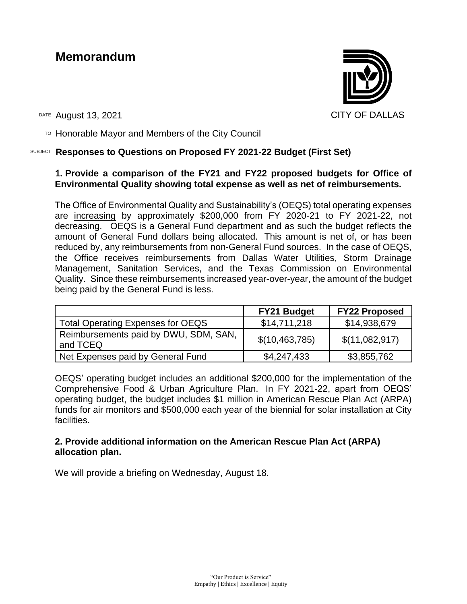# **Memorandum**



DATE August 13, 2021 CITY OF DALLAS

 $T$ <sup>O</sup> Honorable Mayor and Members of the City Council

# SUBJECT **Responses to Questions on Proposed FY 2021-22 Budget (First Set)**

# **1. Provide a comparison of the FY21 and FY22 proposed budgets for Office of Environmental Quality showing total expense as well as net of reimbursements.**

The Office of Environmental Quality and Sustainability's (OEQS) total operating expenses are increasing by approximately \$200,000 from FY 2020-21 to FY 2021-22, not decreasing. OEQS is a General Fund department and as such the budget reflects the amount of General Fund dollars being allocated. This amount is net of, or has been reduced by, any reimbursements from non-General Fund sources. In the case of OEQS, the Office receives reimbursements from Dallas Water Utilities, Storm Drainage Management, Sanitation Services, and the Texas Commission on Environmental Quality. Since these reimbursements increased year-over-year, the amount of the budget being paid by the General Fund is less.

|                                                   | <b>FY21 Budget</b> | <b>FY22 Proposed</b> |
|---------------------------------------------------|--------------------|----------------------|
| <b>Total Operating Expenses for OEQS</b>          | \$14,711,218       | \$14,938,679         |
| Reimbursements paid by DWU, SDM, SAN,<br>and TCEQ | \$(10,463,785)     | \$(11,082,917)       |
| Net Expenses paid by General Fund                 | \$4,247,433        | \$3,855,762          |

OEQS' operating budget includes an additional \$200,000 for the implementation of the Comprehensive Food & Urban Agriculture Plan. In FY 2021-22, apart from OEQS' operating budget, the budget includes \$1 million in American Rescue Plan Act (ARPA) funds for air monitors and \$500,000 each year of the biennial for solar installation at City facilities.

# **2. Provide additional information on the American Rescue Plan Act (ARPA) allocation plan.**

We will provide a briefing on Wednesday, August 18.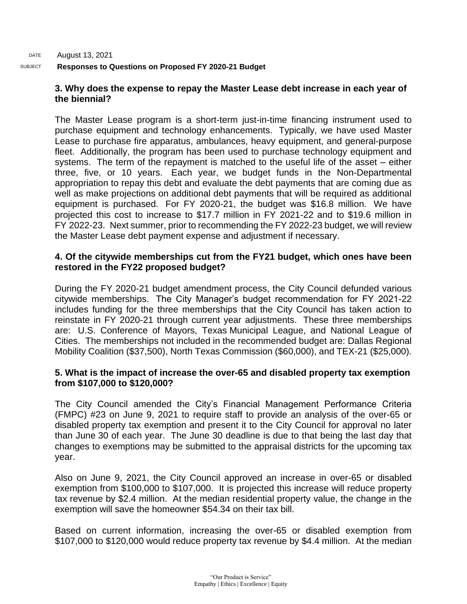# DATE August 13, 2021 SUBJECT **Responses to Questions on Proposed FY 2020-21 Budget**

# **3. Why does the expense to repay the Master Lease debt increase in each year of the biennial?**

The Master Lease program is a short-term just-in-time financing instrument used to purchase equipment and technology enhancements. Typically, we have used Master Lease to purchase fire apparatus, ambulances, heavy equipment, and general-purpose fleet. Additionally, the program has been used to purchase technology equipment and systems. The term of the repayment is matched to the useful life of the asset – either three, five, or 10 years. Each year, we budget funds in the Non-Departmental appropriation to repay this debt and evaluate the debt payments that are coming due as well as make projections on additional debt payments that will be required as additional equipment is purchased. For FY 2020-21, the budget was \$16.8 million. We have projected this cost to increase to \$17.7 million in FY 2021-22 and to \$19.6 million in FY 2022-23. Next summer, prior to recommending the FY 2022-23 budget, we will review the Master Lease debt payment expense and adjustment if necessary.

# **4. Of the citywide memberships cut from the FY21 budget, which ones have been restored in the FY22 proposed budget?**

During the FY 2020-21 budget amendment process, the City Council defunded various citywide memberships. The City Manager's budget recommendation for FY 2021-22 includes funding for the three memberships that the City Council has taken action to reinstate in FY 2020-21 through current year adjustments. These three memberships are: U.S. Conference of Mayors, Texas Municipal League, and National League of Cities. The memberships not included in the recommended budget are: Dallas Regional Mobility Coalition (\$37,500), North Texas Commission (\$60,000), and TEX-21 (\$25,000).

# **5. What is the impact of increase the over-65 and disabled property tax exemption from \$107,000 to \$120,000?**

The City Council amended the City's Financial Management Performance Criteria (FMPC) #23 on June 9, 2021 to require staff to provide an analysis of the over-65 or disabled property tax exemption and present it to the City Council for approval no later than June 30 of each year. The June 30 deadline is due to that being the last day that changes to exemptions may be submitted to the appraisal districts for the upcoming tax year.

Also on June 9, 2021, the City Council approved an increase in over-65 or disabled exemption from \$100,000 to \$107,000. It is projected this increase will reduce property tax revenue by \$2.4 million. At the median residential property value, the change in the exemption will save the homeowner \$54.34 on their tax bill.

Based on current information, increasing the over-65 or disabled exemption from \$107,000 to \$120,000 would reduce property tax revenue by \$4.4 million. At the median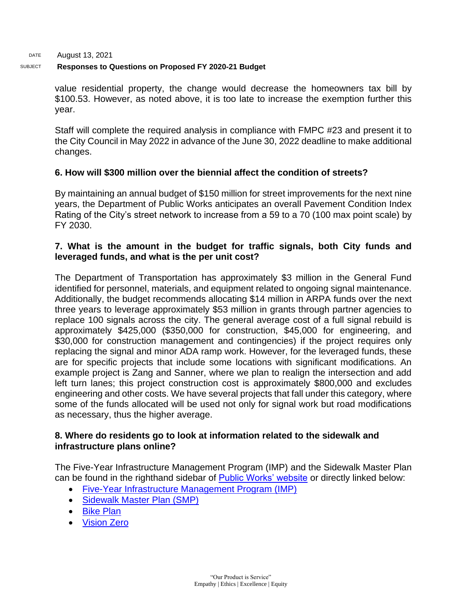DATE August 13, 2021

#### SUBJECT **Responses to Questions on Proposed FY 2020-21 Budget**

value residential property, the change would decrease the homeowners tax bill by \$100.53. However, as noted above, it is too late to increase the exemption further this year.

Staff will complete the required analysis in compliance with FMPC #23 and present it to the City Council in May 2022 in advance of the June 30, 2022 deadline to make additional changes.

# **6. How will \$300 million over the biennial affect the condition of streets?**

By maintaining an annual budget of \$150 million for street improvements for the next nine years, the Department of Public Works anticipates an overall Pavement Condition Index Rating of the City's street network to increase from a 59 to a 70 (100 max point scale) by FY 2030.

# **7. What is the amount in the budget for traffic signals, both City funds and leveraged funds, and what is the per unit cost?**

The Department of Transportation has approximately \$3 million in the General Fund identified for personnel, materials, and equipment related to ongoing signal maintenance. Additionally, the budget recommends allocating \$14 million in ARPA funds over the next three years to leverage approximately \$53 million in grants through partner agencies to replace 100 signals across the city. The general average cost of a full signal rebuild is approximately \$425,000 (\$350,000 for construction, \$45,000 for engineering, and \$30,000 for construction management and contingencies) if the project requires only replacing the signal and minor ADA ramp work. However, for the leveraged funds, these are for specific projects that include some locations with significant modifications. An example project is Zang and Sanner, where we plan to realign the intersection and add left turn lanes; this project construction cost is approximately \$800,000 and excludes engineering and other costs. We have several projects that fall under this category, where some of the funds allocated will be used not only for signal work but road modifications as necessary, thus the higher average.

# **8. Where do residents go to look at information related to the sidewalk and infrastructure plans online?**

The Five-Year Infrastructure Management Program (IMP) and the Sidewalk Master Plan can be found in the righthand sidebar of [Public Works' website](https://dallascityhall.com/departments/public-works/Pages/default.aspx) or directly linked below:

- [Five-Year Infrastructure Management Program \(IMP\)](https://dallascityhall.com/departments/public-works/DCH%20Documents/Public%20Works/pdf/IMP%20FY21-25%20R1a.pdf)
- [Sidewalk Master Plan \(SMP\)](https://dallascityhall.com/departments/public-works/DCH%20Documents/Public%20Works/pdf/Dallas_Sidewalk_Master_Plan.pdf)
- [Bike Plan](https://dallascityhall.com/departments/transportation/bikeway/Pages/default.aspx)
- [Vision Zero](https://dallascityhall.com/departments/transportation/Pages/Vision-Zero-Dallas.aspx)